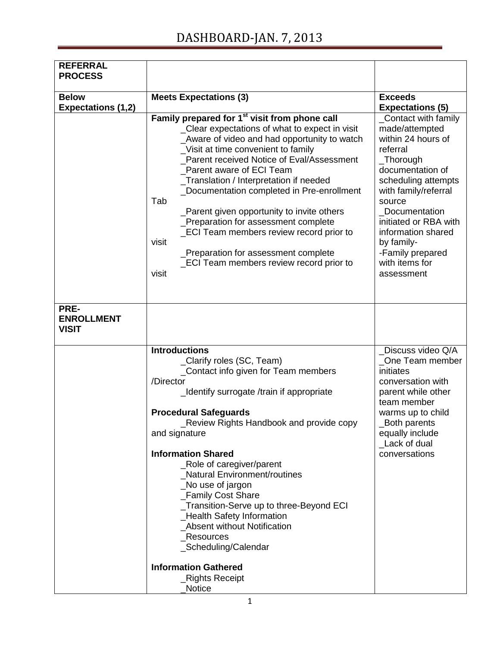## DASHBOARD-JAN. 7, 2013

| <b>REFERRAL</b><br><b>PROCESS</b>         |                                                                                                                                                                                                                                                                                                                                                                                                                                                                                                                                                                                                                      |                                                                                                                                                                                                                                                                                                         |
|-------------------------------------------|----------------------------------------------------------------------------------------------------------------------------------------------------------------------------------------------------------------------------------------------------------------------------------------------------------------------------------------------------------------------------------------------------------------------------------------------------------------------------------------------------------------------------------------------------------------------------------------------------------------------|---------------------------------------------------------------------------------------------------------------------------------------------------------------------------------------------------------------------------------------------------------------------------------------------------------|
|                                           |                                                                                                                                                                                                                                                                                                                                                                                                                                                                                                                                                                                                                      |                                                                                                                                                                                                                                                                                                         |
| <b>Below</b>                              | <b>Meets Expectations (3)</b>                                                                                                                                                                                                                                                                                                                                                                                                                                                                                                                                                                                        | <b>Exceeds</b>                                                                                                                                                                                                                                                                                          |
| <b>Expectations (1,2)</b>                 |                                                                                                                                                                                                                                                                                                                                                                                                                                                                                                                                                                                                                      | <b>Expectations (5)</b>                                                                                                                                                                                                                                                                                 |
|                                           | Family prepared for 1 <sup>st</sup> visit from phone call<br>_Clear expectations of what to expect in visit<br>Aware of video and had opportunity to watch<br>Visit at time convenient to family<br>Parent received Notice of Eval/Assessment<br>Parent aware of ECI Team<br>_Translation / Interpretation if needed<br>_Documentation completed in Pre-enrollment<br>Tab<br>Parent given opportunity to invite others<br>Preparation for assessment complete<br>_ECI Team members review record prior to<br>visit<br>Preparation for assessment complete<br><b>ECI Team members review record prior to</b><br>visit | Contact with family<br>made/attempted<br>within 24 hours of<br>referral<br>$\_$ Thorough<br>documentation of<br>scheduling attempts<br>with family/referral<br>source<br>Documentation<br>initiated or RBA with<br>information shared<br>by family-<br>-Family prepared<br>with items for<br>assessment |
| PRE-<br><b>ENROLLMENT</b><br><b>VISIT</b> |                                                                                                                                                                                                                                                                                                                                                                                                                                                                                                                                                                                                                      |                                                                                                                                                                                                                                                                                                         |
|                                           | <b>Introductions</b><br>_Clarify roles (SC, Team)<br>_Contact info given for Team members<br>/Director<br>_Identify surrogate /train if appropriate<br><b>Procedural Safeguards</b><br>_Review Rights Handbook and provide copy<br>and signature<br><b>Information Shared</b><br>_Role of caregiver/parent<br><b>Natural Environment/routines</b><br>No use of jargon<br>_Family Cost Share<br>_Transition-Serve up to three-Beyond ECI<br>_Health Safety Information<br><b>Absent without Notification</b><br>Resources<br>_Scheduling/Calendar<br><b>Information Gathered</b>                                      | Discuss video Q/A<br>One Team member<br>initiates<br>conversation with<br>parent while other<br>team member<br>warms up to child<br>_Both parents<br>equally include<br>Lack of dual<br>conversations                                                                                                   |
|                                           | _Rights Receipt<br><b>Notice</b>                                                                                                                                                                                                                                                                                                                                                                                                                                                                                                                                                                                     |                                                                                                                                                                                                                                                                                                         |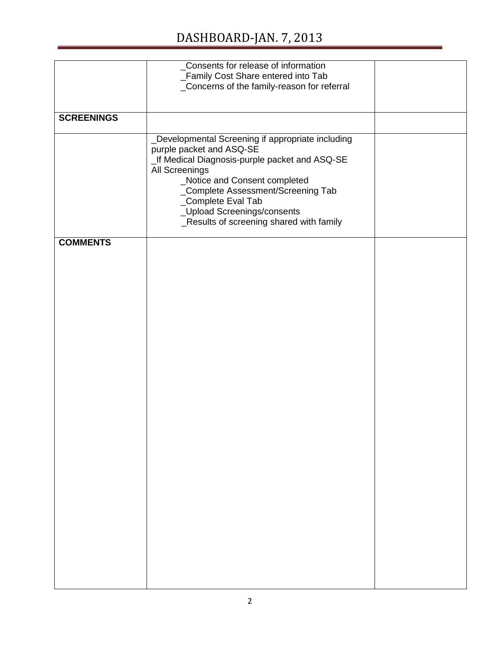## DASHBOARD-JAN. 7, 2013

|                   | _Consents for release of information              |  |
|-------------------|---------------------------------------------------|--|
|                   | _Family Cost Share entered into Tab               |  |
|                   | _Concerns of the family-reason for referral       |  |
|                   |                                                   |  |
|                   |                                                   |  |
| <b>SCREENINGS</b> |                                                   |  |
|                   | _Developmental Screening if appropriate including |  |
|                   | purple packet and ASQ-SE                          |  |
|                   |                                                   |  |
|                   | _If Medical Diagnosis-purple packet and ASQ-SE    |  |
|                   | All Screenings                                    |  |
|                   | _Notice and Consent completed                     |  |
|                   | _Complete Assessment/Screening Tab                |  |
|                   | _Complete Eval Tab                                |  |
|                   | _Upload Screenings/consents                       |  |
|                   | _Results of screening shared with family          |  |
|                   |                                                   |  |
| <b>COMMENTS</b>   |                                                   |  |
|                   |                                                   |  |
|                   |                                                   |  |
|                   |                                                   |  |
|                   |                                                   |  |
|                   |                                                   |  |
|                   |                                                   |  |
|                   |                                                   |  |
|                   |                                                   |  |
|                   |                                                   |  |
|                   |                                                   |  |
|                   |                                                   |  |
|                   |                                                   |  |
|                   |                                                   |  |
|                   |                                                   |  |
|                   |                                                   |  |
|                   |                                                   |  |
|                   |                                                   |  |
|                   |                                                   |  |
|                   |                                                   |  |
|                   |                                                   |  |
|                   |                                                   |  |
|                   |                                                   |  |
|                   |                                                   |  |
|                   |                                                   |  |
|                   |                                                   |  |
|                   |                                                   |  |
|                   |                                                   |  |
|                   |                                                   |  |
|                   |                                                   |  |
|                   |                                                   |  |
|                   |                                                   |  |
|                   |                                                   |  |
|                   |                                                   |  |